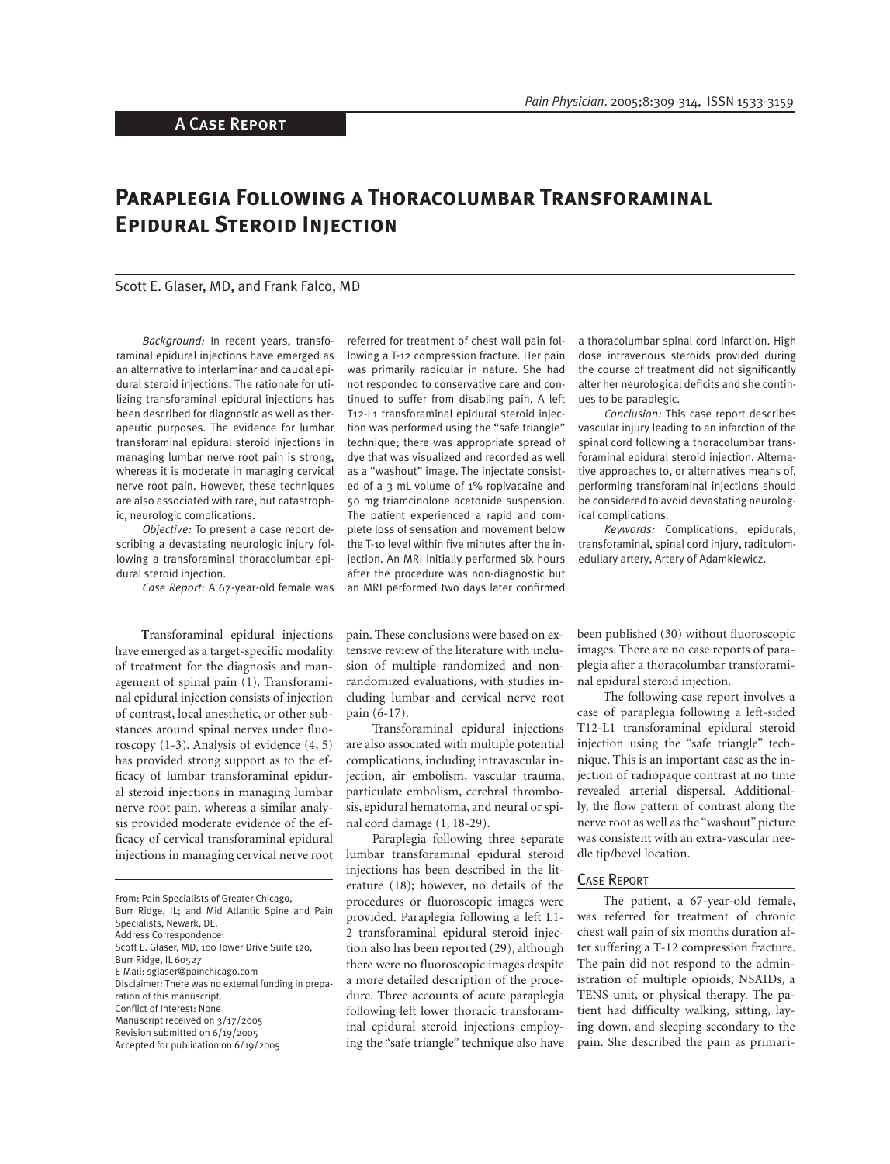# **Paraplegia Following a Thoracolumbar Transforaminal Epidural Steroid Injection**

### Scott E. Glaser, MD, and Frank Falco, MD

*Background:* In recent years, transforaminal epidural injections have emerged as an alternative to interlaminar and caudal epidural steroid injections. The rationale for utilizing transforaminal epidural injections has been described for diagnostic as well as therapeutic purposes. The evidence for lumbar transforaminal epidural steroid injections in managing lumbar nerve root pain is strong, whereas it is moderate in managing cervical nerve root pain. However, these techniques are also associated with rare, but catastrophic, neurologic complications.

*Objective:* To present a case report describing a devastating neurologic injury following a transforaminal thoracolumbar epidural steroid injection.

*Case Report:* A 67-year-old female was

referred for treatment of chest wall pain following a T-12 compression fracture. Her pain was primarily radicular in nature. She had not responded to conservative care and continued to suffer from disabling pain. A left T12-L1 transforaminal epidural steroid injection was performed using the "safe triangle" technique; there was appropriate spread of dye that was visualized and recorded as well as a "washout" image. The injectate consisted of a 3 mL volume of 1% ropivacaine and 50 mg triamcinolone acetonide suspension. The patient experienced a rapid and complete loss of sensation and movement below the T-10 level within five minutes after the injection. An MRI initially performed six hours after the procedure was non-diagnostic but an MRI performed two days later confirmed a thoracolumbar spinal cord infarction. High dose intravenous steroids provided during the course of treatment did not significantly alter her neurological deficits and she continues to be paraplegic.

*Conclusion:* This case report describes vascular injury leading to an infarction of the spinal cord following a thoracolumbar transforaminal epidural steroid injection. Alternative approaches to, or alternatives means of, performing transforaminal injections should be considered to avoid devastating neurological complications.

*Keywords:* Complications, epidurals, transforaminal, spinal cord injury, radiculomedullary artery, Artery of Adamkiewicz.

**T**ransforaminal epidural injections have emerged as a target-specific modality of treatment for the diagnosis and management of spinal pain (1). Transforaminal epidural injection consists of injection of contrast, local anesthetic, or other substances around spinal nerves under fluoroscopy (1-3). Analysis of evidence (4, 5) has provided strong support as to the efficacy of lumbar transforaminal epidural steroid injections in managing lumbar nerve root pain, whereas a similar analysis provided moderate evidence of the efficacy of cervical transforaminal epidural injections in managing cervical nerve root pain. These conclusions were based on extensive review of the literature with inclusion of multiple randomized and nonrandomized evaluations, with studies including lumbar and cervical nerve root pain (6-17).

Transforaminal epidural injections are also associated with multiple potential complications, including intravascular injection, air embolism, vascular trauma, particulate embolism, cerebral thrombosis, epidural hematoma, and neural or spinal cord damage (1, 18-29).

Paraplegia following three separate lumbar transforaminal epidural steroid injections has been described in the literature (18); however, no details of the procedures or fluoroscopic images were provided. Paraplegia following a left L1- 2 transforaminal epidural steroid injection also has been reported (29), although there were no fluoroscopic images despite a more detailed description of the procedure. Three accounts of acute paraplegia following left lower thoracic transforaminal epidural steroid injections employing the "safe triangle" technique also have been published (30) without fluoroscopic images. There are no case reports of paraplegia after a thoracolumbar transforaminal epidural steroid injection.

The following case report involves a case of paraplegia following a left-sided T12-L1 transforaminal epidural steroid injection using the "safe triangle" technique. This is an important case as the injection of radiopaque contrast at no time revealed arterial dispersal. Additionally, the flow pattern of contrast along the nerve root as well as the "washout" picture was consistent with an extra-vascular needle tip/bevel location.

## CASE REPORT

The patient, a 67-year-old female, was referred for treatment of chronic chest wall pain of six months duration after suffering a T-12 compression fracture. The pain did not respond to the administration of multiple opioids, NSAIDs, a TENS unit, or physical therapy. The patient had difficulty walking, sitting, laying down, and sleeping secondary to the pain. She described the pain as primari-

From: Pain Specialists of Greater Chicago, Burr Ridge, IL; and Mid Atlantic Spine and Pain Specialists, Newark, DE. Address Correspondence: Scott E. Glaser, MD, 100 Tower Drive Suite 120, Burr Ridge, IL 60527 E-Mail: sglaser@painchicago.com Disclaimer: There was no external funding in preparation of this manuscript. Conflict of Interest: None Manuscript received on 3/17/2005 Revision submitted on 6/19/2005 Accepted for publication on 6/19/2005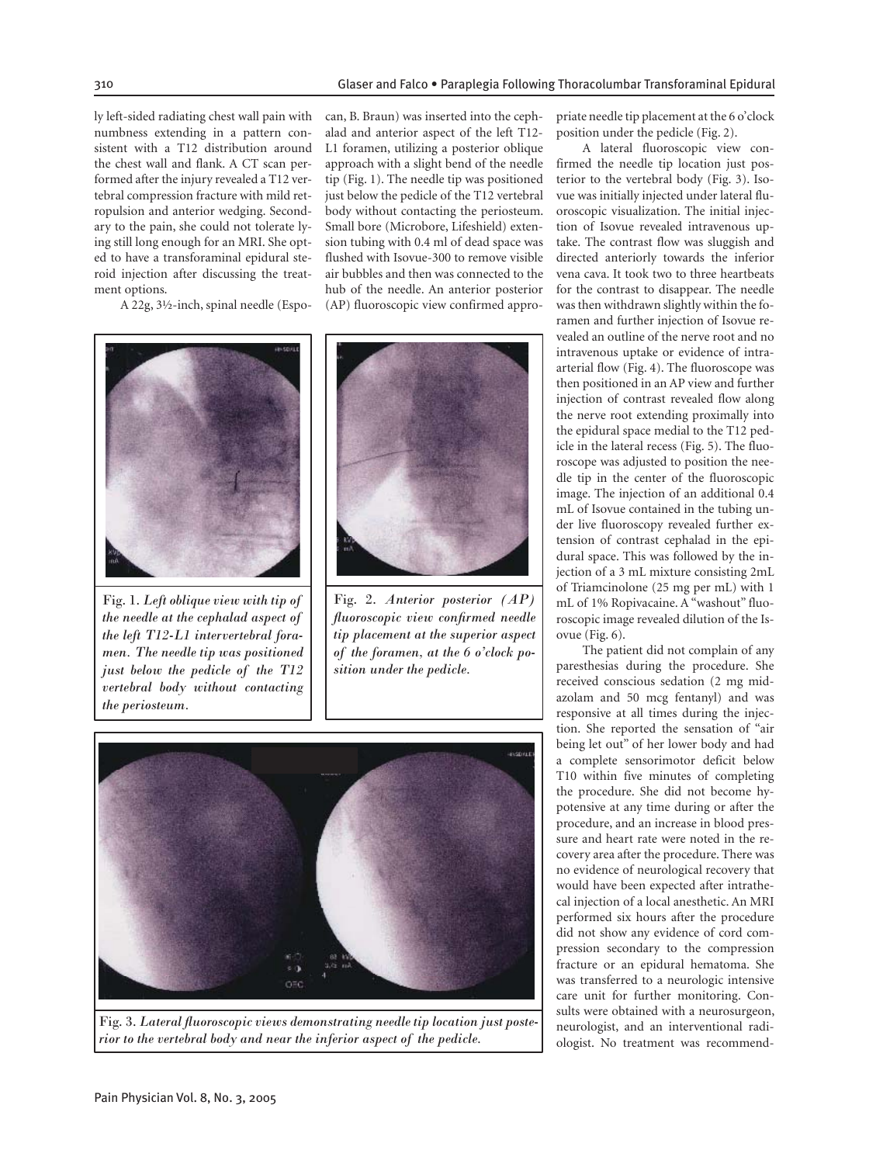ly left-sided radiating chest wall pain with numbness extending in a pattern consistent with a T12 distribution around the chest wall and flank. A CT scan performed after the injury revealed a T12 vertebral compression fracture with mild retropulsion and anterior wedging. Secondary to the pain, she could not tolerate lying still long enough for an MRI. She opted to have a transforaminal epidural steroid injection after discussing the treatment options.

A 22g, 3½-inch, spinal needle (Espo-



Fig. 1. *Left oblique view with tip of the needle at the cephalad aspect of the left T12-L1 intervertebral foramen. The needle tip was positioned just below the pedicle of the T12 vertebral body without contacting the periosteum.*

can, B. Braun) was inserted into the cephalad and anterior aspect of the left T12- L1 foramen, utilizing a posterior oblique approach with a slight bend of the needle tip (Fig. 1). The needle tip was positioned just below the pedicle of the T12 vertebral body without contacting the periosteum. Small bore (Microbore, Lifeshield) extension tubing with 0.4 ml of dead space was flushed with Isovue-300 to remove visible air bubbles and then was connected to the hub of the needle. An anterior posterior (AP) fluoroscopic view confirmed appro-



Fig. 2. *Anterior posterior (AP) fl uoroscopic view confi rmed needle tip placement at the superior aspect of the foramen, at the 6 o'clock position under the pedicle.*



Fig. 3. Lateral fluoroscopic views demonstrating needle tip location just poste*rior to the vertebral body and near the inferior aspect of the pedicle.*

priate needle tip placement at the 6 o'clock position under the pedicle (Fig. 2).

A lateral fluoroscopic view confirmed the needle tip location just posterior to the vertebral body (Fig. 3). Isovue was initially injected under lateral fluoroscopic visualization. The initial injection of Isovue revealed intravenous uptake. The contrast flow was sluggish and directed anteriorly towards the inferior vena cava. It took two to three heartbeats for the contrast to disappear. The needle was then withdrawn slightly within the foramen and further injection of Isovue revealed an outline of the nerve root and no intravenous uptake or evidence of intraarterial flow (Fig. 4). The fluoroscope was then positioned in an AP view and further injection of contrast revealed flow along the nerve root extending proximally into the epidural space medial to the T12 pedicle in the lateral recess (Fig. 5). The fluoroscope was adjusted to position the needle tip in the center of the fluoroscopic image. The injection of an additional 0.4 mL of Isovue contained in the tubing under live fluoroscopy revealed further extension of contrast cephalad in the epidural space. This was followed by the injection of a 3 mL mixture consisting 2mL of Triamcinolone (25 mg per mL) with 1 mL of 1% Ropivacaine. A "washout" fluoroscopic image revealed dilution of the Isovue (Fig. 6).

The patient did not complain of any paresthesias during the procedure. She received conscious sedation (2 mg midazolam and 50 mcg fentanyl) and was responsive at all times during the injection. She reported the sensation of "air being let out" of her lower body and had a complete sensorimotor deficit below T10 within five minutes of completing the procedure. She did not become hypotensive at any time during or after the procedure, and an increase in blood pressure and heart rate were noted in the recovery area after the procedure. There was no evidence of neurological recovery that would have been expected after intrathecal injection of a local anesthetic. An MRI performed six hours after the procedure did not show any evidence of cord compression secondary to the compression fracture or an epidural hematoma. She was transferred to a neurologic intensive care unit for further monitoring. Consults were obtained with a neurosurgeon, neurologist, and an interventional radiologist. No treatment was recommend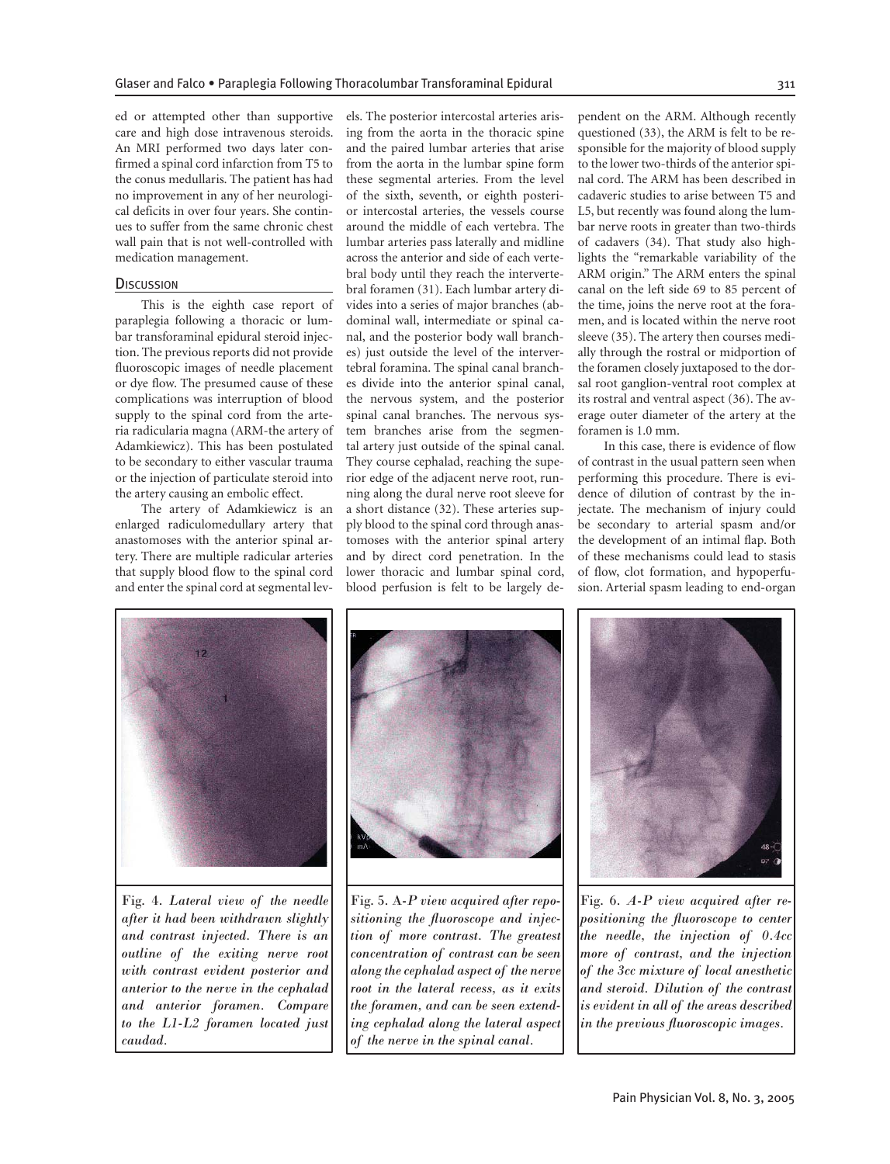ed or attempted other than supportive care and high dose intravenous steroids. An MRI performed two days later confirmed a spinal cord infarction from T5 to the conus medullaris. The patient has had no improvement in any of her neurological deficits in over four years. She continues to suffer from the same chronic chest wall pain that is not well-controlled with medication management.

#### **DISCUSSION**

This is the eighth case report of paraplegia following a thoracic or lumbar transforaminal epidural steroid injection. The previous reports did not provide fluoroscopic images of needle placement or dye flow. The presumed cause of these complications was interruption of blood supply to the spinal cord from the arteria radicularia magna (ARM-the artery of Adamkiewicz). This has been postulated to be secondary to either vascular trauma or the injection of particulate steroid into the artery causing an embolic effect.

The artery of Adamkiewicz is an enlarged radiculomedullary artery that anastomoses with the anterior spinal artery. There are multiple radicular arteries that supply blood flow to the spinal cord and enter the spinal cord at segmental levels. The posterior intercostal arteries arising from the aorta in the thoracic spine and the paired lumbar arteries that arise from the aorta in the lumbar spine form these segmental arteries. From the level of the sixth, seventh, or eighth posterior intercostal arteries, the vessels course around the middle of each vertebra. The lumbar arteries pass laterally and midline across the anterior and side of each vertebral body until they reach the intervertebral foramen (31). Each lumbar artery divides into a series of major branches (abdominal wall, intermediate or spinal canal, and the posterior body wall branches) just outside the level of the intervertebral foramina. The spinal canal branches divide into the anterior spinal canal, the nervous system, and the posterior spinal canal branches. The nervous system branches arise from the segmental artery just outside of the spinal canal. They course cephalad, reaching the superior edge of the adjacent nerve root, running along the dural nerve root sleeve for a short distance (32). These arteries supply blood to the spinal cord through anastomoses with the anterior spinal artery and by direct cord penetration. In the lower thoracic and lumbar spinal cord, blood perfusion is felt to be largely dependent on the ARM. Although recently questioned (33), the ARM is felt to be responsible for the majority of blood supply to the lower two-thirds of the anterior spinal cord. The ARM has been described in cadaveric studies to arise between T5 and L5, but recently was found along the lumbar nerve roots in greater than two-thirds of cadavers (34). That study also highlights the "remarkable variability of the ARM origin." The ARM enters the spinal canal on the left side 69 to 85 percent of the time, joins the nerve root at the foramen, and is located within the nerve root sleeve (35). The artery then courses medially through the rostral or midportion of the foramen closely juxtaposed to the dorsal root ganglion-ventral root complex at its rostral and ventral aspect (36). The average outer diameter of the artery at the foramen is 1.0 mm.

In this case, there is evidence of flow of contrast in the usual pattern seen when performing this procedure. There is evidence of dilution of contrast by the injectate. The mechanism of injury could be secondary to arterial spasm and/or the development of an intimal flap. Both of these mechanisms could lead to stasis of flow, clot formation, and hypoperfusion. Arterial spasm leading to end-organ



Fig. 4. *Lateral view of the needle after it had been withdrawn slightly and contrast injected. There is an outline of the exiting nerve root with contrast evident posterior and anterior to the nerve in the cephalad and anterior foramen. Compare to the L1-L2 foramen located just caudad.* 



Fig. 5. A*-P view acquired after repo*sitioning the fluoroscope and injec*tion of more contrast. The greatest concentration of contrast can be seen along the cephalad aspect of the nerve root in the lateral recess, as it exits the foramen, and can be seen extending cephalad along the lateral aspect of the nerve in the spinal canal.*



Fig. 6. *A-P view acquired after re* $positioning the fluorescence of the$ *the needle, the injection of 0.4cc more of contrast, and the injection of the 3cc mixture of local anesthetic and steroid. Dilution of the contrast is evident in all of the areas described in the previous fl uoroscopic images.*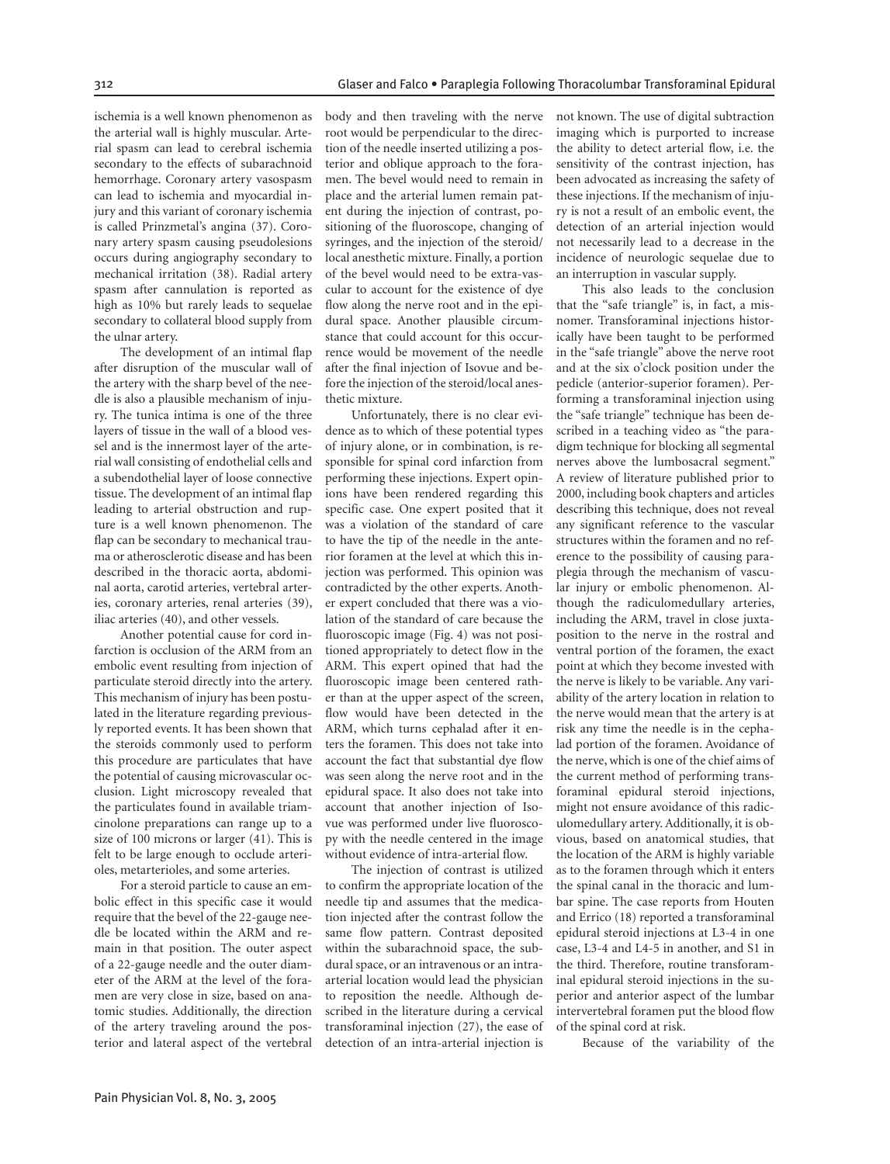ischemia is a well known phenomenon as the arterial wall is highly muscular. Arterial spasm can lead to cerebral ischemia secondary to the effects of subarachnoid hemorrhage. Coronary artery vasospasm can lead to ischemia and myocardial injury and this variant of coronary ischemia is called Prinzmetal's angina (37). Coronary artery spasm causing pseudolesions occurs during angiography secondary to mechanical irritation (38). Radial artery spasm after cannulation is reported as high as 10% but rarely leads to sequelae secondary to collateral blood supply from the ulnar artery.

The development of an intimal flap after disruption of the muscular wall of the artery with the sharp bevel of the needle is also a plausible mechanism of injury. The tunica intima is one of the three layers of tissue in the wall of a blood vessel and is the innermost layer of the arterial wall consisting of endothelial cells and a subendothelial layer of loose connective tissue. The development of an intimal flap leading to arterial obstruction and rupture is a well known phenomenon. The flap can be secondary to mechanical trauma or atherosclerotic disease and has been described in the thoracic aorta, abdominal aorta, carotid arteries, vertebral arteries, coronary arteries, renal arteries (39), iliac arteries (40), and other vessels.

Another potential cause for cord infarction is occlusion of the ARM from an embolic event resulting from injection of particulate steroid directly into the artery. This mechanism of injury has been postulated in the literature regarding previously reported events. It has been shown that the steroids commonly used to perform this procedure are particulates that have the potential of causing microvascular occlusion. Light microscopy revealed that the particulates found in available triamcinolone preparations can range up to a size of 100 microns or larger (41). This is felt to be large enough to occlude arterioles, metarterioles, and some arteries.

For a steroid particle to cause an embolic effect in this specific case it would require that the bevel of the 22-gauge needle be located within the ARM and remain in that position. The outer aspect of a 22-gauge needle and the outer diameter of the ARM at the level of the foramen are very close in size, based on anatomic studies. Additionally, the direction of the artery traveling around the posterior and lateral aspect of the vertebral body and then traveling with the nerve root would be perpendicular to the direction of the needle inserted utilizing a posterior and oblique approach to the foramen. The bevel would need to remain in place and the arterial lumen remain patent during the injection of contrast, positioning of the fluoroscope, changing of syringes, and the injection of the steroid/ local anesthetic mixture. Finally, a portion of the bevel would need to be extra-vascular to account for the existence of dye flow along the nerve root and in the epidural space. Another plausible circumstance that could account for this occurrence would be movement of the needle after the final injection of Isovue and before the injection of the steroid/local anesthetic mixture.

Unfortunately, there is no clear evidence as to which of these potential types of injury alone, or in combination, is responsible for spinal cord infarction from performing these injections. Expert opinions have been rendered regarding this specific case. One expert posited that it was a violation of the standard of care to have the tip of the needle in the anterior foramen at the level at which this injection was performed. This opinion was contradicted by the other experts. Another expert concluded that there was a violation of the standard of care because the fluoroscopic image (Fig. 4) was not positioned appropriately to detect flow in the ARM. This expert opined that had the fluoroscopic image been centered rather than at the upper aspect of the screen, flow would have been detected in the ARM, which turns cephalad after it enters the foramen. This does not take into account the fact that substantial dye flow was seen along the nerve root and in the epidural space. It also does not take into account that another injection of Isovue was performed under live fluoroscopy with the needle centered in the image without evidence of intra-arterial flow.

The injection of contrast is utilized to confirm the appropriate location of the needle tip and assumes that the medication injected after the contrast follow the same flow pattern. Contrast deposited within the subarachnoid space, the subdural space, or an intravenous or an intraarterial location would lead the physician to reposition the needle. Although described in the literature during a cervical transforaminal injection (27), the ease of detection of an intra-arterial injection is not known. The use of digital subtraction imaging which is purported to increase the ability to detect arterial flow, i.e. the sensitivity of the contrast injection, has been advocated as increasing the safety of these injections. If the mechanism of injury is not a result of an embolic event, the detection of an arterial injection would not necessarily lead to a decrease in the incidence of neurologic sequelae due to an interruption in vascular supply.

This also leads to the conclusion that the "safe triangle" is, in fact, a misnomer. Transforaminal injections historically have been taught to be performed in the "safe triangle" above the nerve root and at the six o'clock position under the pedicle (anterior-superior foramen). Performing a transforaminal injection using the "safe triangle" technique has been described in a teaching video as "the paradigm technique for blocking all segmental nerves above the lumbosacral segment." A review of literature published prior to 2000, including book chapters and articles describing this technique, does not reveal any significant reference to the vascular structures within the foramen and no reference to the possibility of causing paraplegia through the mechanism of vascular injury or embolic phenomenon. Although the radiculomedullary arteries, including the ARM, travel in close juxtaposition to the nerve in the rostral and ventral portion of the foramen, the exact point at which they become invested with the nerve is likely to be variable. Any variability of the artery location in relation to the nerve would mean that the artery is at risk any time the needle is in the cephalad portion of the foramen. Avoidance of the nerve, which is one of the chief aims of the current method of performing transforaminal epidural steroid injections, might not ensure avoidance of this radiculomedullary artery. Additionally, it is obvious, based on anatomical studies, that the location of the ARM is highly variable as to the foramen through which it enters the spinal canal in the thoracic and lumbar spine. The case reports from Houten and Errico (18) reported a transforaminal epidural steroid injections at L3-4 in one case, L3-4 and L4-5 in another, and S1 in the third. Therefore, routine transforaminal epidural steroid injections in the superior and anterior aspect of the lumbar intervertebral foramen put the blood flow of the spinal cord at risk.

Because of the variability of the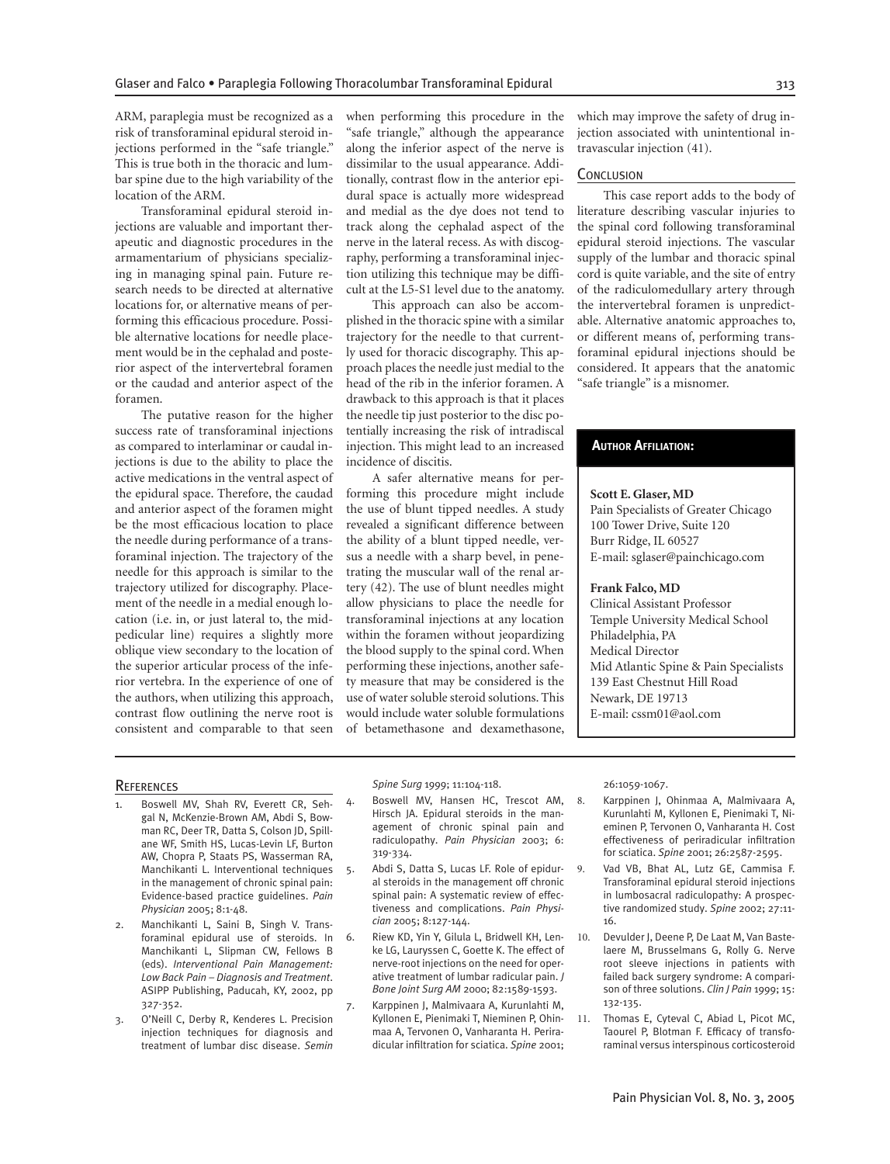ARM, paraplegia must be recognized as a risk of transforaminal epidural steroid injections performed in the "safe triangle." This is true both in the thoracic and lumbar spine due to the high variability of the location of the ARM.

Transforaminal epidural steroid injections are valuable and important therapeutic and diagnostic procedures in the armamentarium of physicians specializing in managing spinal pain. Future research needs to be directed at alternative locations for, or alternative means of performing this efficacious procedure. Possible alternative locations for needle placement would be in the cephalad and posterior aspect of the intervertebral foramen or the caudad and anterior aspect of the foramen.

The putative reason for the higher success rate of transforaminal injections as compared to interlaminar or caudal injections is due to the ability to place the active medications in the ventral aspect of the epidural space. Therefore, the caudad and anterior aspect of the foramen might be the most efficacious location to place the needle during performance of a transforaminal injection. The trajectory of the needle for this approach is similar to the trajectory utilized for discography. Placement of the needle in a medial enough location (i.e. in, or just lateral to, the midpedicular line) requires a slightly more oblique view secondary to the location of the superior articular process of the inferior vertebra. In the experience of one of the authors, when utilizing this approach, contrast flow outlining the nerve root is consistent and comparable to that seen when performing this procedure in the "safe triangle," although the appearance along the inferior aspect of the nerve is dissimilar to the usual appearance. Additionally, contrast flow in the anterior epidural space is actually more widespread and medial as the dye does not tend to track along the cephalad aspect of the nerve in the lateral recess. As with discography, performing a transforaminal injection utilizing this technique may be difficult at the L5-S1 level due to the anatomy.

This approach can also be accomplished in the thoracic spine with a similar trajectory for the needle to that currently used for thoracic discography. This approach places the needle just medial to the head of the rib in the inferior foramen. A drawback to this approach is that it places the needle tip just posterior to the disc potentially increasing the risk of intradiscal injection. This might lead to an increased incidence of discitis.

A safer alternative means for performing this procedure might include the use of blunt tipped needles. A study revealed a significant difference between the ability of a blunt tipped needle, versus a needle with a sharp bevel, in penetrating the muscular wall of the renal artery (42). The use of blunt needles might allow physicians to place the needle for transforaminal injections at any location within the foramen without jeopardizing the blood supply to the spinal cord. When performing these injections, another safety measure that may be considered is the use of water soluble steroid solutions. This would include water soluble formulations of betamethasone and dexamethasone,

which may improve the safety of drug injection associated with unintentional intravascular injection (41).

## **CONCLUSION**

This case report adds to the body of literature describing vascular injuries to the spinal cord following transforaminal epidural steroid injections. The vascular supply of the lumbar and thoracic spinal cord is quite variable, and the site of entry of the radiculomedullary artery through the intervertebral foramen is unpredictable. Alternative anatomic approaches to, or different means of, performing transforaminal epidural injections should be considered. It appears that the anatomic "safe triangle" is a misnomer.

## **AUTHOR AFFILIATION:**

#### **Scott E. Glaser, MD**

Pain Specialists of Greater Chicago 100 Tower Drive, Suite 120 Burr Ridge, IL 60527 E-mail: sglaser@painchicago.com

### **Frank Falco, MD**

Clinical Assistant Professor Temple University Medical School Philadelphia, PA Medical Director Mid Atlantic Spine & Pain Specialists 139 East Chestnut Hill Road Newark, DE 19713 E-mail: cssm01@aol.com

#### **REFERENCES**

- Boswell MV, Shah RV, Everett CR, Sehgal N, McKenzie-Brown AM, Abdi S, Bowman RC, Deer TR, Datta S, Colson JD, Spillane WF, Smith HS, Lucas-Levin LF, Burton AW, Chopra P, Staats PS, Wasserman RA, Manchikanti L. Interventional techniques in the management of chronic spinal pain: Evidence-based practice guidelines. *Pain Physician* 2005; 8:1-48.
- 2. Manchikanti L, Saini B, Singh V. Transforaminal epidural use of steroids. In Manchikanti L, Slipman CW, Fellows B (eds). *Interventional Pain Management: Low Back Pain – Diagnosis and Treatment*. ASIPP Publishing, Paducah, KY, 2002, pp 327-352.
- 3. O'Neill C, Derby R, Kenderes L. Precision injection techniques for diagnosis and treatment of lumbar disc disease. *Semin*

*Spine Surg* 1999; 11:104-118.

- 4. Boswell MV, Hansen HC, Trescot AM, Hirsch JA. Epidural steroids in the management of chronic spinal pain and radiculopathy. *Pain Physician* 2003; 6: 319-334.
- 5. Abdi S, Datta S, Lucas LF. Role of epidural steroids in the management off chronic spinal pain: A systematic review of effectiveness and complications. *Pain Physician* 2005; 8:127-144.
- 6. Riew KD, Yin Y, Gilula L, Bridwell KH, Lenke LG, Lauryssen C, Goette K. The effect of nerve-root injections on the need for operative treatment of lumbar radicular pain. *J Bone Joint Surg AM* 2000; 82:1589-1593.
- 7. Karppinen J, Malmivaara A, Kurunlahti M, Kyllonen E, Pienimaki T, Nieminen P, Ohinmaa A, Tervonen O, Vanharanta H. Periradicular infiltration for sciatica. *Spine* 2001:

26:1059-1067.

- 8. Karppinen J, Ohinmaa A, Malmivaara A, Kurunlahti M, Kyllonen E, Pienimaki T, Nieminen P, Tervonen O, Vanharanta H. Cost effectiveness of periradicular infiltration for sciatica. *Spine* 2001; 26:2587-2595.
- Vad VB, Bhat AL, Lutz GE, Cammisa F. Transforaminal epidural steroid injections in lumbosacral radiculopathy: A prospective randomized study. *Spine* 2002; 27:11- 16.
- 10. Devulder J, Deene P, De Laat M, Van Bastelaere M, Brusselmans G, Rolly G. Nerve root sleeve injections in patients with failed back surgery syndrome: A comparison of three solutions. *Clin J Pain* 1999; 15: 132-135.
- 11. Thomas E, Cyteval C, Abiad L, Picot MC, Taourel P, Blotman F. Efficacy of transforaminal versus interspinous corticosteroid